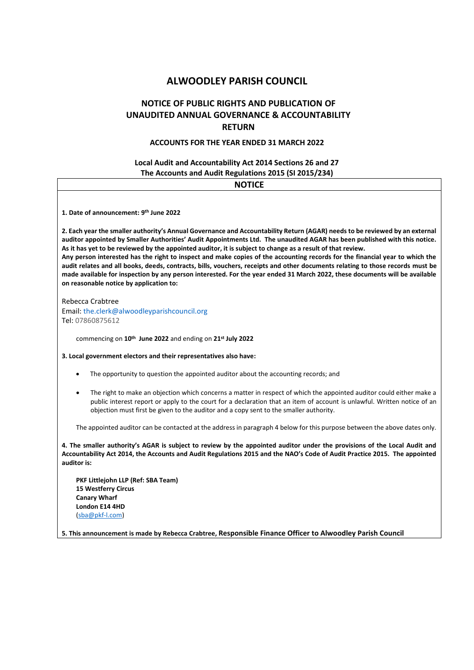# **ALWOODLEY PARISH COUNCIL**

# **NOTICE OF PUBLIC RIGHTS AND PUBLICATION OF UNAUDITED ANNUAL GOVERNANCE & ACCOUNTABILITY RETURN**

## **ACCOUNTS FOR THE YEAR ENDED 31 MARCH 2022**

## **Local Audit and Accountability Act 2014 Sections 26 and 27 The Accounts and Audit Regulations 2015 (SI 2015/234)**

| <b>NOTICE</b>                                                                                                                                                                                                                                                                                                                                                                                                                                                                                                                                                                                                                                                                                                                                                                                                      |
|--------------------------------------------------------------------------------------------------------------------------------------------------------------------------------------------------------------------------------------------------------------------------------------------------------------------------------------------------------------------------------------------------------------------------------------------------------------------------------------------------------------------------------------------------------------------------------------------------------------------------------------------------------------------------------------------------------------------------------------------------------------------------------------------------------------------|
| 1. Date of announcement: 9th June 2022                                                                                                                                                                                                                                                                                                                                                                                                                                                                                                                                                                                                                                                                                                                                                                             |
| 2. Each year the smaller authority's Annual Governance and Accountability Return (AGAR) needs to be reviewed by an external<br>auditor appointed by Smaller Authorities' Audit Appointments Ltd. The unaudited AGAR has been published with this notice.<br>As it has yet to be reviewed by the appointed auditor, it is subject to change as a result of that review.<br>Any person interested has the right to inspect and make copies of the accounting records for the financial year to which the<br>audit relates and all books, deeds, contracts, bills, vouchers, receipts and other documents relating to those records must be<br>made available for inspection by any person interested. For the year ended 31 March 2022, these documents will be available<br>on reasonable notice by application to: |
| Rebecca Crabtree<br>Email: the.clerk@alwoodleyparishcouncil.org<br>Tel: 07860875612                                                                                                                                                                                                                                                                                                                                                                                                                                                                                                                                                                                                                                                                                                                                |
| commencing on 10 <sup>th</sup> June 2022 and ending on 21 <sup>st</sup> July 2022                                                                                                                                                                                                                                                                                                                                                                                                                                                                                                                                                                                                                                                                                                                                  |
| 3. Local government electors and their representatives also have:                                                                                                                                                                                                                                                                                                                                                                                                                                                                                                                                                                                                                                                                                                                                                  |
| The opportunity to question the appointed auditor about the accounting records; and<br>٠                                                                                                                                                                                                                                                                                                                                                                                                                                                                                                                                                                                                                                                                                                                           |
| The right to make an objection which concerns a matter in respect of which the appointed auditor could either make a<br>$\bullet$<br>public interest report or apply to the court for a declaration that an item of account is unlawful. Written notice of an<br>objection must first be given to the auditor and a copy sent to the smaller authority.                                                                                                                                                                                                                                                                                                                                                                                                                                                            |
| The appointed auditor can be contacted at the address in paragraph 4 below for this purpose between the above dates only.                                                                                                                                                                                                                                                                                                                                                                                                                                                                                                                                                                                                                                                                                          |
| 4. The smaller authority's AGAR is subject to review by the appointed auditor under the provisions of the Local Audit and<br>Accountability Act 2014, the Accounts and Audit Regulations 2015 and the NAO's Code of Audit Practice 2015. The appointed<br>auditor is:                                                                                                                                                                                                                                                                                                                                                                                                                                                                                                                                              |
| PKF Littlejohn LLP (Ref: SBA Team)<br><b>15 Westferry Circus</b><br><b>Canary Wharf</b>                                                                                                                                                                                                                                                                                                                                                                                                                                                                                                                                                                                                                                                                                                                            |

**5. This announcement is made by Rebecca Crabtree, Responsible Finance Officer to Alwoodley Parish Council**

**London E14 4HD** [\(sba@pkf-l.com\)](mailto:sba@pkf-l.com)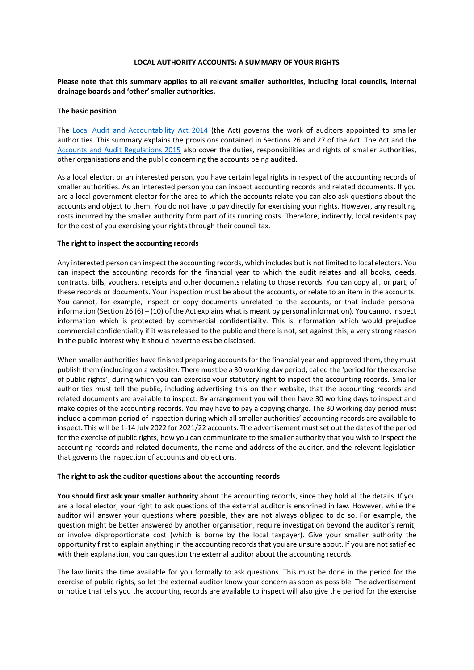#### **LOCAL AUTHORITY ACCOUNTS: A SUMMARY OF YOUR RIGHTS**

## **Please note that this summary applies to all relevant smaller authorities, including local councils, internal drainage boards and 'other' smaller authorities.**

#### **The basic position**

The [Local Audit and Accountability Act 2014](http://www.legislation.gov.uk/ukpga/2014/2/contents) (the Act) governs the work of auditors appointed to smaller authorities. This summary explains the provisions contained in Sections 26 and 27 of the Act. The Act and the [Accounts and Audit Regulations 2015](http://www.legislation.gov.uk/uksi/2015/234/contents/made) also cover the duties, responsibilities and rights of smaller authorities, other organisations and the public concerning the accounts being audited.

As a local elector, or an interested person, you have certain legal rights in respect of the accounting records of smaller authorities. As an interested person you can inspect accounting records and related documents. If you are a local government elector for the area to which the accounts relate you can also ask questions about the accounts and object to them. You do not have to pay directly for exercising your rights. However, any resulting costs incurred by the smaller authority form part of its running costs. Therefore, indirectly, local residents pay for the cost of you exercising your rights through their council tax.

#### **The right to inspect the accounting records**

Any interested person can inspect the accounting records, which includes but is not limited to local electors. You can inspect the accounting records for the financial year to which the audit relates and all books, deeds, contracts, bills, vouchers, receipts and other documents relating to those records. You can copy all, or part, of these records or documents. Your inspection must be about the accounts, or relate to an item in the accounts. You cannot, for example, inspect or copy documents unrelated to the accounts, or that include personal information (Section 26 (6) – (10) of the Act explains what is meant by personal information). You cannot inspect information which is protected by commercial confidentiality. This is information which would prejudice commercial confidentiality if it was released to the public and there is not, set against this, a very strong reason in the public interest why it should nevertheless be disclosed.

When smaller authorities have finished preparing accounts for the financial year and approved them, they must publish them (including on a website). There must be a 30 working day period, called the 'period for the exercise of public rights', during which you can exercise your statutory right to inspect the accounting records. Smaller authorities must tell the public, including advertising this on their website, that the accounting records and related documents are available to inspect. By arrangement you will then have 30 working days to inspect and make copies of the accounting records. You may have to pay a copying charge. The 30 working day period must include a common period of inspection during which all smaller authorities' accounting records are available to inspect. This will be 1-14 July 2022 for 2021/22 accounts. The advertisement must set out the dates of the period for the exercise of public rights, how you can communicate to the smaller authority that you wish to inspect the accounting records and related documents, the name and address of the auditor, and the relevant legislation that governs the inspection of accounts and objections.

#### **The right to ask the auditor questions about the accounting records**

**You should first ask your smaller authority** about the accounting records, since they hold all the details. If you are a local elector, your right to ask questions of the external auditor is enshrined in law. However, while the auditor will answer your questions where possible, they are not always obliged to do so. For example, the question might be better answered by another organisation, require investigation beyond the auditor's remit, or involve disproportionate cost (which is borne by the local taxpayer). Give your smaller authority the opportunity first to explain anything in the accounting records that you are unsure about. If you are not satisfied with their explanation, you can question the external auditor about the accounting records.

The law limits the time available for you formally to ask questions. This must be done in the period for the exercise of public rights, so let the external auditor know your concern as soon as possible. The advertisement or notice that tells you the accounting records are available to inspect will also give the period for the exercise